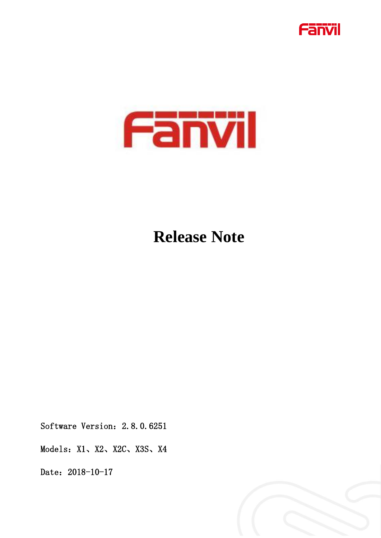



# **Release Note**

Software Version: 2.8.0.6251

Models: X1、X2、X2C、X3S、X4

Date: 2018-10-17

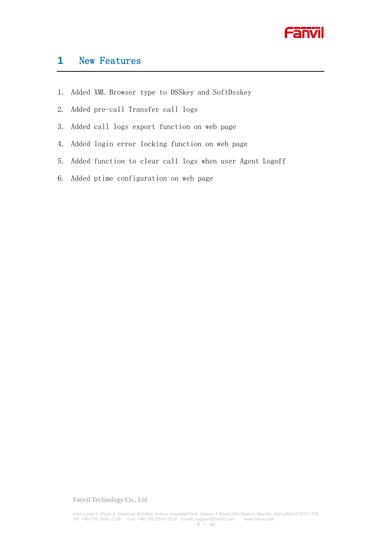

# **1** New Features

- 1. Added XML Browser type to DSSkey and SoftDsskey
- 2. Added pre-call Transfer call logs
- 3. Added call logs export function on web page
- 4. Added login error locking function on web page
- 5. Added function to clear call logs when user Agent Logoff
- 6. Added ptime configuration on web page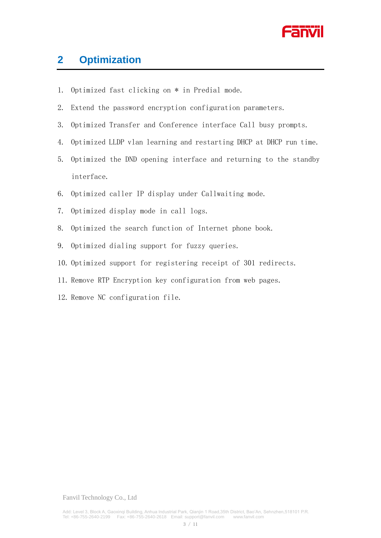

## **2 Optimization**

- 1. Optimized fast clicking on \* in Predial mode.
- 2. Extend the password encryption configuration parameters.
- 3. Optimized Transfer and Conference interface Call busy prompts.
- 4. Optimized LLDP vlan learning and restarting DHCP at DHCP run time.
- 5. Optimized the DND opening interface and returning to the standby interface.
- 6. Optimized caller IP display under Callwaiting mode.
- 7. Optimized display mode in call logs.
- 8. Optimized the search function of Internet phone book.
- 9. Optimized dialing support for fuzzy queries.
- 10. Optimized support for registering receipt of 301 redirects.
- 11. Remove RTP Encryption key configuration from web pages.
- 12. Remove NC configuration file.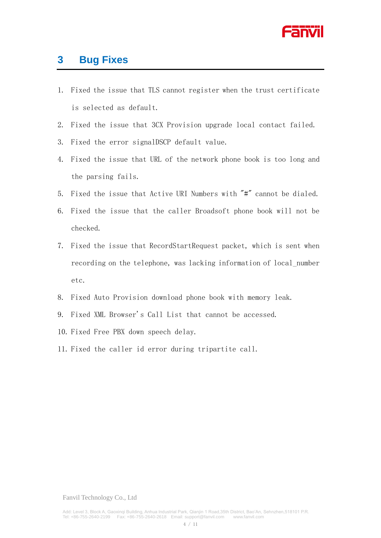

## **3 Bug Fixes**

- 1. Fixed the issue that TLS cannot register when the trust certificate is selected as default.
- 2. Fixed the issue that 3CX Provision upgrade local contact failed.
- 3. Fixed the error signalDSCP default value.
- 4. Fixed the issue that URL of the network phone book is too long and the parsing fails.
- 5. Fixed the issue that Active URI Numbers with "#" cannot be dialed.
- 6. Fixed the issue that the caller Broadsoft phone book will not be checked.
- 7. Fixed the issue that RecordStartRequest packet, which is sent when recording on the telephone, was lacking information of local\_number etc.
- 8. Fixed Auto Provision download phone book with memory leak.
- 9. Fixed XML Browser's Call List that cannot be accessed.
- 10. Fixed Free PBX down speech delay.
- 11. Fixed the caller id error during tripartite call.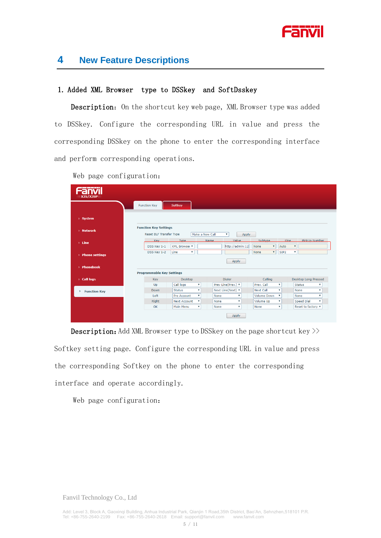

## **4 New Feature Descriptions**

#### 1. Added XML Browser type to DSSkey and SoftDsskey

Description: On the shortcut key web page, XML Browser type was added to DSSkey. Configure the corresponding URL in value and press the corresponding DSSkey on the phone to enter the corresponding interface and perform corresponding operations.

| ______<br>$\equiv$ X3S/X3SP $\equiv$ |                                                         |                                   |                                |                           |                                 |                  |                                            |
|--------------------------------------|---------------------------------------------------------|-----------------------------------|--------------------------------|---------------------------|---------------------------------|------------------|--------------------------------------------|
|                                      | <b>Function Key</b>                                     | Softkey                           |                                |                           |                                 |                  |                                            |
| > System                             |                                                         |                                   |                                |                           |                                 |                  |                                            |
| > Network                            | <b>Function Key Settings</b><br>Reset BLF Transfer Type |                                   | Make a New Call<br>$\mathbf v$ | Apply                     |                                 |                  |                                            |
| $>$ Line                             | Kev                                                     | <b>Type</b>                       | Name                           | Value                     | Subtype                         | <b>Line</b>      | PickUp Number                              |
|                                      | DSS Key 1-1                                             | XML Browser ▼                     |                                | http://admin:12           | $\pmb{\mathrm{v}}$<br>None      | Auto             | $\pmb{\mathrm{v}}$                         |
| > Phone settings                     | DSS Key 1-2                                             | Line<br>$\boldsymbol{\mathrm{v}}$ |                                |                           | $\overline{\mathbf{v}}$<br>None | SIP <sub>2</sub> | v                                          |
| > Phonebook                          |                                                         |                                   |                                | Apply                     |                                 |                  |                                            |
|                                      | <b>Programmable Key Settings</b>                        |                                   |                                |                           |                                 |                  |                                            |
| > Call logs                          | Key                                                     | <b>Desktop</b>                    | <b>Dialer</b>                  |                           | Calling                         |                  | <b>Desktop Long Pressed</b>                |
|                                      | Up                                                      | Call logs                         | Prev Line(Prev.) v<br>۷        |                           | Prev. Call                      | ۷                | <b>Status</b><br>$\boldsymbol{\mathrm{v}}$ |
| <b>Function Key</b><br>×.            | Down                                                    | <b>Status</b>                     | Next Line(Next) ▼<br>۷         |                           | <b>Next Call</b>                | ۷                | None<br>$\mathbf v$                        |
|                                      | Left                                                    | <b>Pre Account</b>                | ۷<br>None                      | ۰                         | <b>Volume Down</b>              | v                | None<br>$\mathbf v$                        |
|                                      | Right                                                   | <b>Next Account</b>               | None<br>۷                      | $\boldsymbol{\mathrm{v}}$ | Volume Up                       | v                | <b>Speed Dial</b><br>$\mathbf v$           |
|                                      | OK                                                      | Main Menu                         | ۷<br>None                      | $\boldsymbol{\mathrm{v}}$ | None                            | ۷                | Reset to factory ▼                         |
|                                      |                                                         |                                   |                                | Apply                     |                                 |                  |                                            |

Web page configuration:

**Description:** Add XML Browser type to DSSkey on the page shortcut key  $\gg$ Softkey setting page. Configure the corresponding URL in value and press the corresponding Softkey on the phone to enter the corresponding interface and operate accordingly.

Web page configuration: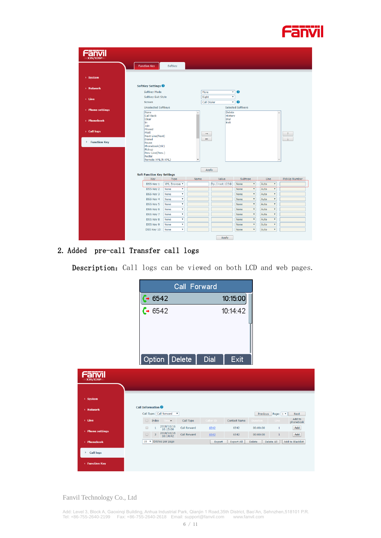

| <b>X3S/X3SP</b>          |                                                                        |                  |                          |                              |                                   |                                   |               |
|--------------------------|------------------------------------------------------------------------|------------------|--------------------------|------------------------------|-----------------------------------|-----------------------------------|---------------|
|                          | <b>Function Key</b>                                                    | Softkey          |                          |                              |                                   |                                   |               |
| > System                 |                                                                        |                  |                          |                              |                                   |                                   |               |
| > Network                | SoftKey Settings                                                       |                  |                          |                              |                                   |                                   |               |
|                          | Softkey Mode                                                           |                  | More                     | $\mathbf{v}$                 | ℯ                                 |                                   |               |
| $>$ Line                 | Softkey Exit Style<br>Screen                                           |                  | Right<br>Call Dialer     | $\overline{\mathbf{v}}$<br>۰ | $\boldsymbol{\Omega}$             |                                   |               |
| > Phone settings         | <b>Unselected Softkeys</b><br>None                                     |                  |                          | <b>Delete</b>                | <b>Selected Softkeys</b>          |                                   |               |
| > Phonebook              | Call Back<br>Clear<br>In.<br>Join                                      |                  |                          | History<br>Dial<br>Exit      |                                   |                                   |               |
| > Call logs              | Missed<br>MWI<br>Next Line(Next)                                       |                  | $\rightarrow$            |                              |                                   |                                   |               |
| <b>Function Key</b><br>× | <b>Dialed</b><br>Pause<br>Phonebook(Dir)<br>Pickup<br>Prev Line(Prev.) |                  |                          |                              |                                   |                                   |               |
|                          | Redial<br>Remote XML(R-XML)                                            |                  | $\overline{\phantom{a}}$ |                              |                                   |                                   |               |
|                          | <b>Soft Function Key Settings</b>                                      |                  | Apply                    |                              |                                   |                                   |               |
|                          | Key                                                                    | Type             | Name                     | Value                        | Subtype                           | Line                              | PickUp Number |
|                          | DSS Key 1                                                              | XML Browser ▼    |                          | ftp://root:123@              | $\pmb{\mathrm{v}}$<br>None        | $\pmb{\mathrm{v}}$<br>Auto        |               |
|                          | DSS Key 2                                                              | ۷<br><b>None</b> |                          |                              | $\pmb{\mathrm{v}}$<br>None        | $\pmb{\mathrm{v}}$<br>Auto        |               |
|                          | DSS Key 3                                                              | ۰<br>None        |                          |                              | $\pmb{\mathrm{v}}$<br>None        | $\pmb{\mathrm{v}}$<br>Auto        |               |
|                          | DSS Key 4                                                              | ۷<br><b>None</b> |                          |                              | $\pmb{\mathrm{v}}$<br>None        | $\pmb{\mathrm{v}}$<br>Auto        |               |
|                          | DSS Key 5                                                              | ۷<br>None        |                          |                              | None<br>$\boldsymbol{\mathrm{v}}$ | $\boldsymbol{\mathrm{v}}$<br>Auto |               |
|                          | DSS Key 6                                                              | None<br>۷        |                          |                              | $\pmb{\mathrm{v}}$<br>None        | Auto<br>$\boldsymbol{\mathrm{v}}$ |               |
|                          | DSS Key 7                                                              | ۰<br><b>None</b> |                          |                              | $\pmb{\mathrm{v}}$<br>None        | $\boldsymbol{\mathrm{v}}$<br>Auto |               |
|                          | DSS Key 8                                                              | ۷<br><b>None</b> |                          |                              | None<br>$\pmb{\mathrm{v}}$        | $\pmb{\mathrm{v}}$<br>Auto        |               |
|                          | DSS Key 9                                                              | None<br>۷        |                          |                              | $\boldsymbol{\mathrm{v}}$<br>None | Auto<br>$\pmb{\mathrm{v}}$        |               |
|                          | DSS Key 10                                                             | ۰<br>None        |                          |                              | $\pmb{\mathrm{v}}$<br>None        | $\boldsymbol{\mathrm{v}}$<br>Auto |               |
|                          |                                                                        |                  |                          | <b>Annly</b>                 |                                   |                                   |               |

## 2. Added pre-call Transfer call logs

Description: Call logs can be viewed on both LCD and web pages.

|                       | Call Forward                                                                           |                                             |                                                                                          |
|-----------------------|----------------------------------------------------------------------------------------|---------------------------------------------|------------------------------------------------------------------------------------------|
|                       |                                                                                        | 10:15:00                                    |                                                                                          |
|                       | $\frac{(-6542)}{(-6542)}$                                                              | 10:14:42                                    |                                                                                          |
|                       | <b>Delete</b><br>Option                                                                | Exit<br><b>Dial</b>                         |                                                                                          |
| X3S/X3SP              |                                                                                        |                                             |                                                                                          |
| > System              |                                                                                        |                                             |                                                                                          |
| > Network             | <b>Call Information</b><br>Call Type: Call forward<br>$\mathbf v$                      |                                             | Page: $1$ $\overline{ }$<br>Previous<br>Next                                             |
| $>$ Line              | Time<br>Call Type<br>$\Box$ Index                                                      | Caller ID<br><b>Contact Name</b>            | Add to<br>Line<br>Duration<br>phonebook                                                  |
| > Phone settings      | $\substack{2018/10/16 \\ 10:15:00}$<br>Call forward<br>▣<br>$\mathbf{1}$<br>2018/10/16 | 6542<br>6542                                | Add<br>00:00:00<br>1                                                                     |
| > Phonebook           | Call forward<br>$\overline{2}$<br>o<br>10:14:42<br>10 <b>v</b> Entries per page        | 6542<br>6542<br><b>Export All</b><br>Export | 00:00:00<br>$\mathbf 1$<br>Add<br>Delete All<br><b>Add to Blacklist</b><br><b>Delete</b> |
| <b>Call logs</b><br>٠ |                                                                                        |                                             |                                                                                          |
| > Function Key        |                                                                                        |                                             |                                                                                          |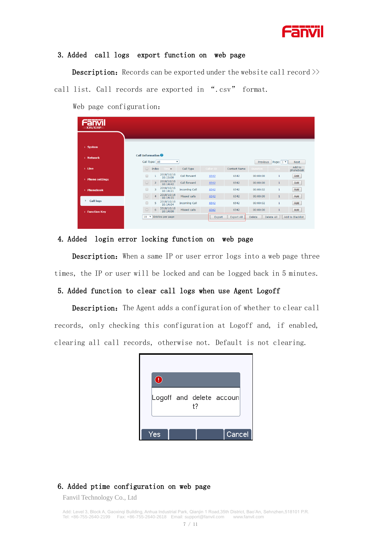

#### 3. Added call logs export function on web page

**Description:** Records can be exported under the website call record  $\gg$ 

call list. Call records are exported in ".csv" format.

Web page configuration:

| <b>PERSON</b><br>$X3S/X3SP =$ |                         |                           |                        |                      |           |                     |                 |              |                     |
|-------------------------------|-------------------------|---------------------------|------------------------|----------------------|-----------|---------------------|-----------------|--------------|---------------------|
| > System                      |                         |                           |                        |                      |           |                     |                 |              |                     |
| > Network                     | <b>Call Information</b> | Call Type: All            |                        | ۰                    |           |                     | Previous        | Page: 1 v    | Next                |
| $>$ Line                      | $\Box$                  | Index                     | Time <sub></sub>       | Call Type            | Caller ID | <b>Contact Name</b> | <b>Duration</b> | Line         | Add to<br>phonebook |
| > Phone settings              | $\Box$                  |                           | 2018/10/16<br>10:15:00 | Call forward         | 6542      | 6542                | 00:00:00        | 1            | Add                 |
|                               | $\Box$                  | $\overline{2}$            | 2018/10/16<br>10:14:42 | Call forward         | 6542      | 6542                | 00:00:00        |              | Add                 |
| <b>Phonebook</b><br>S.        | $\Box$                  | $\overline{3}$            | 2018/10/16<br>10:14:21 | <b>Incoming Call</b> | 6542      | 6542                | 00:00:02        | $\mathbf{1}$ | Add                 |
|                               | $\Box$                  | $\overline{4}$            | 2018/10/16<br>10:14:15 | Missed calls         | 6542      | 6542                | 00:00:00        | 1            | Add                 |
| <b>Call logs</b><br>٠         | ⋒                       | 5                         | 2018/10/16<br>10:14:04 | <b>Incoming Call</b> | 6542      | 6542                | 00:00:02        | 1            | Add                 |
| > Function Key                | $\Box$                  | 6                         | 2018/10/16<br>10:14:00 | Missed calls         | 6542      | 6542                | 00:00:00        |              | Add                 |
|                               | 10                      | $\boldsymbol{\mathrm{v}}$ | Entries per page       |                      | Export    | <b>Export All</b>   | <b>Delete</b>   | Delete All   | Add to Blacklist    |

#### 4. Added login error locking function on web page

**Description:** When a same IP or user error logs into a web page three times, the IP or user will be locked and can be logged back in 5 minutes.

#### 5. Added function to clear call logs when use Agent Logoff

Description: The Agent adds a configuration of whether to clear call records, only checking this configuration at Logoff and, if enabled, clearing all call records, otherwise not. Default is not clearing.

| 4   |    |                          |  |
|-----|----|--------------------------|--|
|     | t? | Logoff and delete accoun |  |
| Yes |    | Cancel                   |  |

#### 6. Added ptime configuration on web page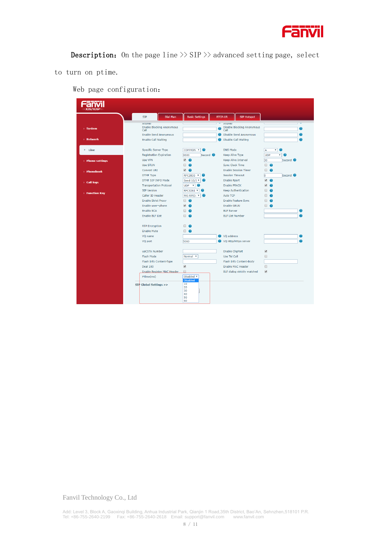

**Description:** On the page line  $\gg$  SIP  $\gg$  advanced setting page, select

to turn on ptime.

Web page configuration:

|                     |                                          |                                       | <b>RTCP-XR</b><br><b>SIP Hotspot</b> |                                          |
|---------------------|------------------------------------------|---------------------------------------|--------------------------------------|------------------------------------------|
|                     | Attswer                                  |                                       | Ariswer                              |                                          |
| > System            | <b>Enable Blocking Anonymous</b><br>Call |                                       | Disable Blocking Anonymous<br>Call   |                                          |
|                     | <b>Enable Send Anonymous</b>             | ℯ                                     | Disable Send Anonymous               |                                          |
| > Network           | <b>Enable Call Waiting</b>               | ℯ                                     | <b>Disable Call Waiting</b>          |                                          |
| > Line              | Specific Server Type                     | COMMON <b>v</b>                       | <b>DNS Mode</b>                      | $\overline{\mathsf{A}}$<br>▾             |
|                     | <b>Registration Expiration</b>           | Second <sup>@</sup><br>3600           | <b>Keep Alive Type</b>               | ▾<br><b>UDP</b><br>$\boldsymbol{\Omega}$ |
| > Phone settings    | Use VPN                                  | $\bullet$ $\bullet$                   | <b>Keep Alive Interval</b>           | Second <sup>@</sup><br>30                |
|                     | Use STUN                                 | $\Box$ $\Omega$                       | <b>Sync Clock Time</b>               | $\Box$ $\Omega$                          |
| > Phonebook         | Convert URI                              | $\bullet$ $\bullet$                   | <b>Enable Session Timer</b>          | $\Box$ $\Omega$                          |
|                     | <b>DTMF Type</b>                         | RFC2833 <b>v</b><br>$\bullet$         | <b>Session Timeout</b>               | o<br>Second <sup>2</sup>                 |
|                     | <b>DTMF SIP INFO Mode</b>                | Send $10/1$ $\blacktriangledown$<br>Ø | <b>Enable Rport</b>                  | $\overline{\mathcal{L}}$<br>$\bullet$    |
| > Call logs         | <b>Transportation Protocol</b>           | <b>UDP</b><br>$\mathbf{v}$<br>Q       | <b>Enable PRACK</b>                  | ✔                                        |
|                     | <b>SIP Version</b>                       | RFC3261 <b>v</b><br>$\bullet$         | <b>Keep Authentication</b>           | π.                                       |
| <b>Function Key</b> | Caller ID Header                         | PAI-RPID- <b>v</b>                    | <b>Auto TCP</b>                      | n.                                       |
|                     | <b>Enable Strict Proxy</b>               | $\Box$ $\Omega$                       | <b>Enable Feature Sync</b>           | □ ⊘                                      |
|                     | Enable user=phone                        | $\sqrt{2}$                            | Enable GRUU                          | Π ⊘                                      |
|                     | <b>Enable SCA</b>                        | Π Θ                                   | <b>BLE Server</b>                    |                                          |
|                     | <b>Enable BLF List</b>                   | $\Box$ $\Omega$                       | <b>BLF List Number</b>               |                                          |
|                     | <b>RTP Encryption</b>                    | $\Box$ $\Omega$                       |                                      |                                          |
|                     | <b>Enable Mute</b>                       | $\Box$ $\Omega$                       |                                      |                                          |
|                     | VQ name                                  |                                       | VQ address                           |                                          |
|                     | VQ port                                  | 5060                                  | VQ Http/Https server                 |                                          |
|                     | uaCSTA Number                            |                                       | <b>Enable ChgPort</b>                | $\blacktriangledown$                     |
|                     | Flash Mode                               | Normal <b>v</b>                       | Use Tel Call                         | $\qquad \qquad \Box$                     |
|                     | Flash Info Content-Type                  |                                       | Flash Info Content-Body              |                                          |
|                     | Deal 180                                 | $\blacktriangledown$                  | <b>Enable MAC Header</b>             | $\Box$                                   |
|                     | Enable Register MAC Header               | $\Box$                                | BLF dialog strictly matched          | $\blacktriangledown$                     |
|                     | PTime(ms)                                | Disabled <b>v</b>                     |                                      |                                          |
|                     |                                          | <b>Disabled</b><br>10                 |                                      |                                          |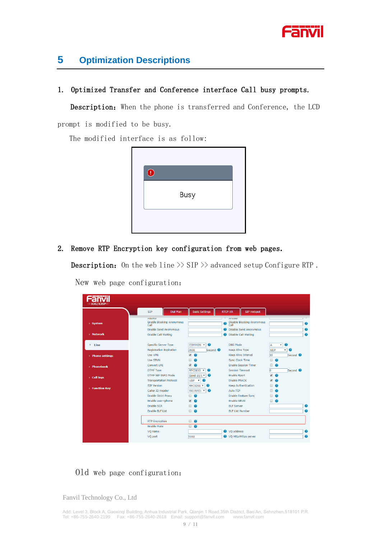

## **5 Optimization Descriptions**

#### 1. Optimized Transfer and Conference interface Call busy prompts.

Description: When the phone is transferred and Conference, the LCD

prompt is modified to be busy.

The modified interface is as follow:



#### 2. Remove RTP Encryption key configuration from web pages.

**Description:** On the web line  $\gg$  SIP  $\gg$  advanced setup Configure RTP.

| X3S/X3SP         |                                                                                     |                   |                                                        |                     |                |                                    |                                                             |                          |                                             |                        |
|------------------|-------------------------------------------------------------------------------------|-------------------|--------------------------------------------------------|---------------------|----------------|------------------------------------|-------------------------------------------------------------|--------------------------|---------------------------------------------|------------------------|
|                  | <b>STP</b>                                                                          | <b>Dial Plant</b> | <b>Basic Settings</b>                                  |                     | <b>RTCP-XR</b> |                                    | <b>SIP Hotspot</b>                                          |                          |                                             |                        |
| > System         | Attswer<br><b>Enable Blocking Anonymous</b><br>Call<br><b>Enable Send Anonymous</b> |                   |                                                        |                     | Ø              | Ariswer<br>Call                    | Disable Blocking Anonymous<br><b>Disable Send Anonymous</b> |                          |                                             | $\bullet$<br>$\bullet$ |
| > Network        | <b>Enable Call Waiting</b>                                                          |                   |                                                        |                     |                |                                    | <b>2</b> Disable Call Waiting                               |                          |                                             | $\bullet$              |
| $>$ Line         | <b>Specific Server Type</b><br><b>Registration Expiration</b>                       |                   | COMMON <b>v</b><br>$\bullet$<br>3600                   | Second <sup>0</sup> |                | DNS Mode<br><b>Keep Alive Type</b> |                                                             | А<br><b>UDP</b>          | $\bullet$<br>v<br>$\bullet$<br>$\mathbf{v}$ |                        |
| > Phone settings | Use VPN                                                                             |                   | $\sqrt{2}$                                             |                     |                |                                    | <b>Keep Alive Interval</b>                                  | 30                       | Second <sup>2</sup>                         |                        |
|                  | <b>Use STUN</b>                                                                     |                   | ⋒<br>0                                                 |                     |                | <b>Sync Clock Time</b>             |                                                             | $\Box$                   | $\bullet$                                   |                        |
| > Phonebook      | Convert URI                                                                         |                   | $\overline{\mathcal{L}}$<br>$\bullet$                  |                     |                |                                    | <b>Enable Session Timer</b>                                 | 8                        | $\bullet$                                   |                        |
|                  | <b>DTMF Type</b>                                                                    |                   | <b>RFC2833</b><br>$\bullet$<br>$\overline{\mathbf{v}}$ |                     |                |                                    | <b>Session Timeout</b>                                      | lo.                      | Second <sup>2</sup>                         |                        |
| <b>Call logs</b> | DTMF SIP INFO Mode                                                                  |                   | Send 10/1 ▼<br>$\bullet$                               |                     |                | <b>Enable Rport</b>                |                                                             | $\blacktriangledown$     | $\bullet$                                   |                        |
|                  | <b>Transportation Protocol</b>                                                      |                   | $\bullet$<br><b>UDP</b><br>$\boldsymbol{\mathrm{v}}$   |                     |                | <b>Enable PRACK</b>                |                                                             | $\overline{\mathcal{L}}$ | $\bullet$                                   |                        |
| > Function Key   | <b>SIP Version</b>                                                                  |                   | RFC3261 V<br>$\bullet$                                 |                     |                |                                    | <b>Keep Authentication</b>                                  | n.                       | $\bullet$                                   |                        |
|                  | Caller ID Header                                                                    |                   | PAI-RPID- <b>v</b><br>$\bullet$                        |                     |                | Auto TCP                           |                                                             | n.                       | $\bullet$                                   |                        |
|                  | <b>Enable Strict Proxy</b>                                                          |                   | $\bullet$<br>m.                                        |                     |                |                                    | <b>Enable Feature Sync</b>                                  | n.                       | $\bullet$                                   |                        |
|                  | Enable user=phone                                                                   |                   | $\overline{\mathbf{v}}$<br>0                           |                     |                | Enable GRUU                        |                                                             | $\Box$ $\Omega$          |                                             |                        |
|                  | <b>Enable SCA</b>                                                                   |                   | ⋒<br>0                                                 |                     |                | <b>BLF Server</b>                  |                                                             |                          |                                             | ℯ                      |
|                  | <b>Enable BLF List</b>                                                              |                   | ▣<br>Ω                                                 |                     |                | <b>BLF List Number</b>             |                                                             |                          |                                             | ℯ                      |
|                  | <b>RTP Encryption</b>                                                               |                   | $\qquad \qquad \Box$<br>$\bullet$                      |                     |                |                                    |                                                             |                          |                                             |                        |
|                  | <b>Enable Mute</b>                                                                  |                   | $\Box$<br>$\bullet$                                    |                     |                |                                    |                                                             |                          |                                             |                        |
|                  | VO name                                                                             |                   |                                                        |                     |                | VO address                         |                                                             |                          |                                             | $\bullet$              |
|                  | VQ port                                                                             |                   | 5060                                                   |                     |                |                                    | VQ Http/Https server                                        |                          |                                             | 0                      |

New web page configuration:

### Old web page configuration: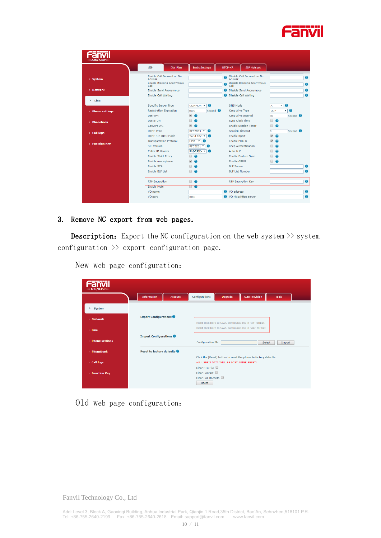

|                     | <b>Dial Plan</b><br><b>SIP</b>           | <b>Basic Settings</b>           | <b>RTCP-XR</b> | <b>SIP Hotspot</b>                          |                                                   |                     |   |
|---------------------|------------------------------------------|---------------------------------|----------------|---------------------------------------------|---------------------------------------------------|---------------------|---|
| > System            | Enable Call Forward on No.<br>Answer     |                                 | Θ              | Disable Call Forward on No<br><b>Answer</b> |                                                   |                     | 0 |
|                     | <b>Enable Blocking Anonymous</b><br>Call |                                 |                | <b>Disable Blocking Anonymous</b><br>Call   |                                                   |                     | 0 |
| > Network           | <b>Enable Send Anonymous</b>             |                                 | Ø              | Disable Send Anonymous                      |                                                   |                     | 2 |
|                     | <b>Enable Call Waiting</b>               |                                 |                | Disable Call Waiting                        |                                                   |                     | ❼ |
|                     |                                          |                                 |                |                                             |                                                   |                     |   |
|                     | <b>Specific Server Type</b>              | COMMON V<br>$\bullet$           |                | <b>DNS Mode</b>                             | ۷<br>А                                            | Ø                   |   |
| > Phone settings    | <b>Registration Expiration</b>           | Second $\bullet$<br>3600        |                | <b>Keep Alive Type</b>                      | <b>UDP</b>                                        | $\bullet$<br>۷      |   |
|                     | Use VPN                                  | $\sqrt{2}$                      |                | <b>Keep Alive Interval</b>                  | 30                                                | Second <sup>6</sup> |   |
| > Phonebook         | Use STUN                                 | Π.<br>$\bullet$                 |                | Sync Clock Time                             | $\Box$ $\Omega$                                   |                     |   |
|                     | Convert URT                              | $\sqrt{2}$                      |                | <b>Enable Session Timer</b>                 | $\Box$<br>$\bullet$                               |                     |   |
| Call logs           | <b>DTMF Type</b>                         | RFC2833<br>Ø<br>۰               |                | <b>Session Timeout</b>                      | <b>o</b>                                          | Second <sup>2</sup> |   |
|                     | DTMF SIP INFO Mode                       | Send $10/1$ $\bullet$           |                | <b>Enable Rport</b>                         | $\overline{\mathcal{L}}$<br>$\boldsymbol{\Omega}$ |                     |   |
|                     | <b>Transportation Protocol</b>           | $UDP$ $*$                       |                | <b>Enable PRACK</b>                         |                                                   |                     |   |
| <b>Function Key</b> | <b>SIP Version</b>                       | RFC3261 V<br>☎                  |                | <b>Keep Authentication</b>                  |                                                   |                     |   |
|                     | Caller ID Header                         | PAI-RPID- <b>v</b><br>$\bullet$ |                | Auto TCP                                    |                                                   |                     |   |
|                     | <b>Enable Strict Proxy</b>               | □ ⊘                             |                | <b>Enable Feature Sync</b>                  |                                                   |                     |   |
|                     | Enable user=phone                        | $\sqrt{2}$                      |                | <b>Enable GRUU</b>                          | Ω.<br>$\bullet$                                   |                     |   |
|                     | <b>Enable SCA</b>                        | Π.<br>$\bullet$                 |                | <b>BI F Server</b>                          |                                                   |                     | 0 |
|                     | Enable BLF List                          | $\Box$ $\Omega$                 |                | <b>BLF List Number</b>                      |                                                   |                     | ℯ |
|                     | <b>RTP Encryption</b>                    | $\Box$ $\Omega$                 |                | <b>RTP Encryption Key</b>                   |                                                   |                     | 0 |
|                     | <b>Enable Mute</b>                       | ■ ⊘                             |                |                                             |                                                   |                     |   |
|                     | VO name                                  |                                 |                | VQ address                                  |                                                   |                     | 0 |
|                     | VQ port                                  | 5060                            |                | VQ Http/Https server                        |                                                   |                     | 2 |

#### 3. Remove NC export from web pages.

**Description:** Export the NC configuration on the web system  $\gg$  system configuration  $\gg$  export configuration page.

Fanvil Configurations Upgrade **Auto Provision Tools** Information Account  $\rightarrow$  System **Export Configurations**  $\rightarrow$  Network Right click here to SAVE configurations in 'txt' format. Right click here to SAVE configurations in 'xml' format.  $>$  Line Import Configurations Configuration file: Select Import Reset to factory defaults Click the [Reset] button to reset the phone to factory defaults. ALL USER'S DATA WILL BE LOST AFTER RESET!  $\rightarrow$  Call logs Clear ETC File  ${\small \textsf{Clear Contact}} \ \ \textcolor{red}{\blacksquare}$ Function Key Clear Call Records  ${\small \begin{tabular}{|c|c|c|} \hline & \textbf{Reset} & \textbf{.} \\\hline \end{tabular}}$ 

New web page configuration:

## Old web page configuration: